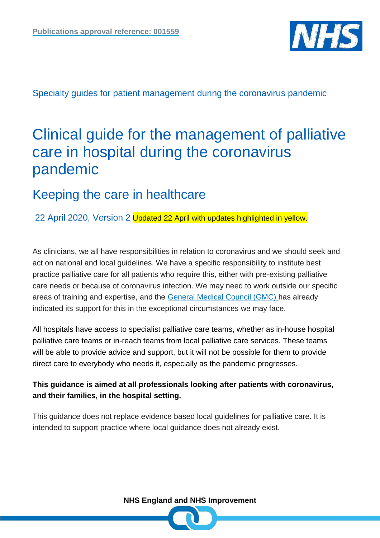

Specialty guides for patient management during the coronavirus pandemic

# Clinical guide for the management of palliative care in hospital during the coronavirus pandemic

# Keeping the care in healthcare

22 April 2020, Version 2 Updated 22 April with updates highlighted in yellow.

As clinicians, we all have responsibilities in relation to coronavirus and we should seek and act on national and local guidelines. We have a specific responsibility to institute best practice palliative care for all patients who require this, either with pre-existing palliative care needs or because of coronavirus infection. We may need to work outside our specific areas of training and expertise, and the [General Medical Council \(GMC\)](https://www.gmc-uk.org/news/news-archive/how-we-will-continue-to-regulate-in-light-of-novel-coronavirus) has already indicated its support for this in the exceptional circumstances we may face.

All hospitals have access to specialist palliative care teams, whether as in-house hospital palliative care teams or in-reach teams from local palliative care services. These teams will be able to provide advice and support, but it will not be possible for them to provide direct care to everybody who needs it, especially as the pandemic progresses.

# **This guidance is aimed at all professionals looking after patients with coronavirus, and their families, in the hospital setting.**

This guidance does not replace evidence based local guidelines for palliative care. It is intended to support practice where local guidance does not already exist.

**NHS England and NHS Improvement**

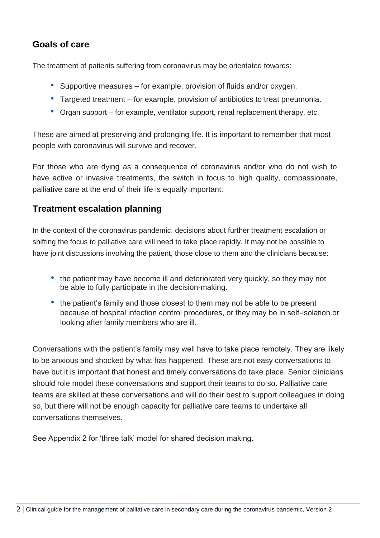# **Goals of care**

The treatment of patients suffering from coronavirus may be orientated towards:

- Supportive measures for example, provision of fluids and/or oxygen.
- Targeted treatment for example, provision of antibiotics to treat pneumonia.
- Organ support for example, ventilator support, renal replacement therapy, etc.

These are aimed at preserving and prolonging life. It is important to remember that most people with coronavirus will survive and recover.

For those who are dying as a consequence of coronavirus and/or who do not wish to have active or invasive treatments, the switch in focus to high quality, compassionate, palliative care at the end of their life is equally important.

# **Treatment escalation planning**

In the context of the coronavirus pandemic, decisions about further treatment escalation or shifting the focus to palliative care will need to take place rapidly. It may not be possible to have joint discussions involving the patient, those close to them and the clinicians because:

- the patient may have become ill and deteriorated very quickly, so they may not be able to fully participate in the decision-making.
- the patient's family and those closest to them may not be able to be present because of hospital infection control procedures, or they may be in self-isolation or looking after family members who are ill.

Conversations with the patient's family may well have to take place remotely. They are likely to be anxious and shocked by what has happened. These are not easy conversations to have but it is important that honest and timely conversations do take place. Senior clinicians should role model these conversations and support their teams to do so. Palliative care teams are skilled at these conversations and will do their best to support colleagues in doing so, but there will not be enough capacity for palliative care teams to undertake all conversations themselves.

See Appendix 2 for 'three talk' model for shared decision making.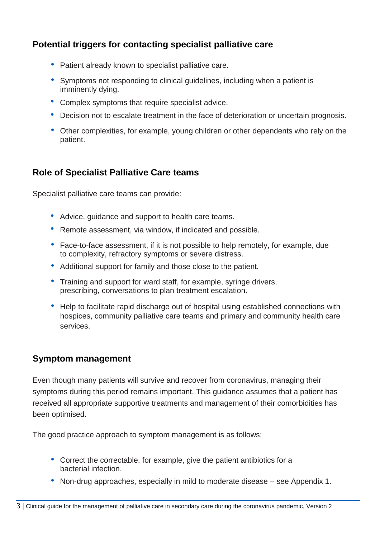# **Potential triggers for contacting specialist palliative care**

- Patient already known to specialist palliative care.
- Symptoms not responding to clinical guidelines, including when a patient is imminently dying.
- Complex symptoms that require specialist advice.
- Decision not to escalate treatment in the face of deterioration or uncertain prognosis.
- Other complexities, for example, young children or other dependents who rely on the patient.

# **Role of Specialist Palliative Care teams**

Specialist palliative care teams can provide:

- Advice, guidance and support to health care teams.
- Remote assessment, via window, if indicated and possible.
- Face-to-face assessment, if it is not possible to help remotely, for example, due to complexity, refractory symptoms or severe distress.
- Additional support for family and those close to the patient.
- Training and support for ward staff, for example, syringe drivers, prescribing, conversations to plan treatment escalation.
- Help to facilitate rapid discharge out of hospital using established connections with hospices, community palliative care teams and primary and community health care services.

# **Symptom management**

Even though many patients will survive and recover from coronavirus, managing their symptoms during this period remains important. This guidance assumes that a patient has received all appropriate supportive treatments and management of their comorbidities has been optimised.

The good practice approach to symptom management is as follows:

- Correct the correctable, for example, give the patient antibiotics for a bacterial infection.
- Non-drug approaches, especially in mild to moderate disease see Appendix 1.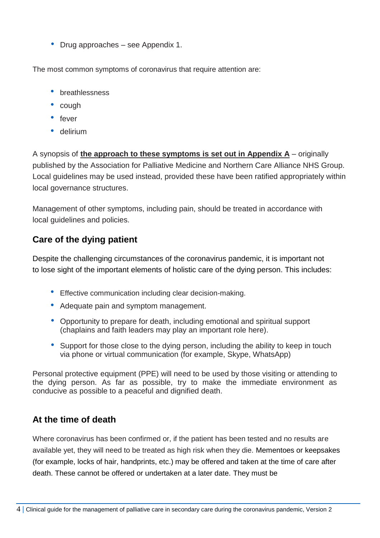• Drug approaches – see Appendix 1.

The most common symptoms of coronavirus that require attention are:

- breathlessness
- cough
- fever
- delirium

A synopsis of **the approach to these symptoms is set out in Appendix A** – originally published by the Association for Palliative Medicine and Northern Care Alliance NHS Group. Local guidelines may be used instead, provided these have been ratified appropriately within local governance structures.

Management of other symptoms, including pain, should be treated in accordance with local guidelines and policies.

# **Care of the dying patient**

Despite the challenging circumstances of the coronavirus pandemic, it is important not to lose sight of the important elements of holistic care of the dying person. This includes:

- Effective communication including clear decision-making.
- Adequate pain and symptom management.
- Opportunity to prepare for death, including emotional and spiritual support (chaplains and faith leaders may play an important role here).
- Support for those close to the dying person, including the ability to keep in touch via phone or virtual communication (for example, Skype, WhatsApp)

Personal protective equipment (PPE) will need to be used by those visiting or attending to the dying person. As far as possible, try to make the immediate environment as conducive as possible to a peaceful and dignified death.

# **At the time of death**

Where coronavirus has been confirmed or, if the patient has been tested and no results are available yet, they will need to be treated as high risk when they die. Mementoes or keepsakes (for example, locks of hair, handprints, etc.) may be offered and taken at the time of care after death. These cannot be offered or undertaken at a later date. They must be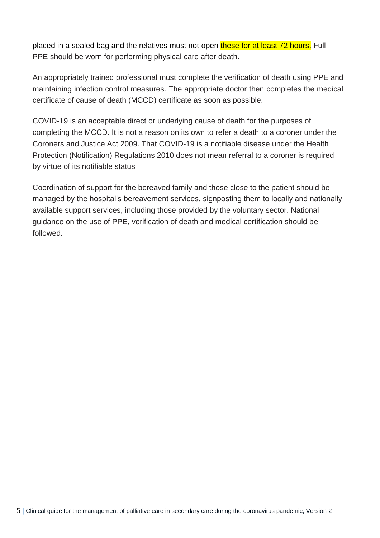placed in a sealed bag and the relatives must not open these for at least 72 hours. Full PPE should be worn for performing physical care after death.

An appropriately trained professional must complete the verification of death using PPE and maintaining infection control measures. The appropriate doctor then completes the medical certificate of cause of death (MCCD) certificate as soon as possible.

COVID-19 is an acceptable direct or underlying cause of death for the purposes of completing the MCCD. It is not a reason on its own to refer a death to a coroner under the Coroners and Justice Act 2009. That COVID-19 is a notifiable disease under the Health Protection (Notification) Regulations 2010 does not mean referral to a coroner is required by virtue of its notifiable status

Coordination of support for the bereaved family and those close to the patient should be managed by the hospital's bereavement services, signposting them to locally and nationally available support services, including those provided by the voluntary sector. National guidance on the use of PPE, verification of death and medical certification should be followed.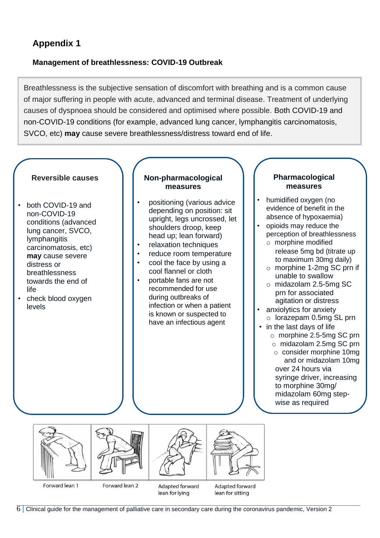# **Appendix 1**

### **Management of breathlessness: COVID-19 Outbreak**

Breathlessness is the subjective sensation of discomfort with breathing and is a common cause of major suffering in people with acute, advanced and terminal disease. Treatment of underlying causes of dyspnoea should be considered and optimised where possible. Both COVID-19 and non-COVID-19 conditions (for example, advanced lung cancer, lymphangitis carcinomatosis, SVCO, etc) **may** cause severe breathlessness/distress toward end of life.

#### **Reversible causes**

- both COVID-19 and non-COVID-19 conditions (advanced lung cancer, SVCO, lymphangitis carcinomatosis, etc) **may** cause severe distress or breathlessness towards the end of life
- check blood oxygen levels

#### **Non-pharmacological measures**

- positioning (various advice depending on position: sit upright, legs uncrossed, let shoulders droop, keep head up; lean forward)
- relaxation techniques
- reduce room temperature
- cool the face by using a cool flannel or cloth
- portable fans are not recommended for use during outbreaks of infection or when a patient is known or suspected to have an infectious agent

#### **Pharmacological measures**

- humidified oxygen (no evidence of benefit in the absence of hypoxaemia)
- opioids may reduce the perception of breathlessness
	- o morphine modified release 5mg bd (titrate up to maximum 30mg daily)
	- o morphine 1-2mg SC prn if unable to swallow
	- o midazolam 2.5-5mg SC prn for associated agitation or distress
- anxiolytics for anxiety o lorazepam 0.5mg SL prn
- in the last days of life
	- o morphine 2.5-5mg SC prn
	- o midazolam 2.5mg SC prn o consider morphine 10mg and or midazolam 10mg over 24 hours via syringe driver, increasing

to morphine 30mg/ midazolam 60mg stepwise as required

Forward lean 1

Forward lean 2

Adapted forward lean for lying

Adapted forward lean for sitting

6 **|** Clinical guide for the management of palliative care in secondary care during the coronavirus pandemic, Version 2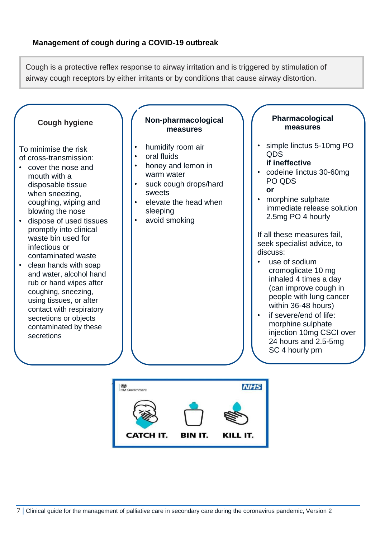Cough is a protective reflex response to airway irritation and is triggered by stimulation of airway cough receptors by either irritants or by conditions that cause airway distortion.



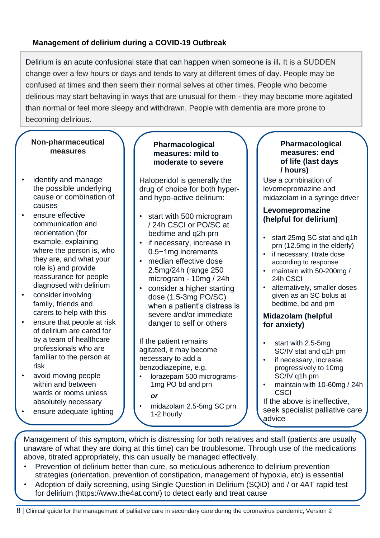### **Management of delirium during a COVID-19 Outbreak**

Delirium is an acute confusional state that can happen when someone is ill**.** It is a SUDDEN change over a few hours or days and tends to vary at different times of day. People may be confused at times and then seem their normal selves at other times. People who become delirious may start behaving in ways that are unusual for them - they may become more agitated than normal or feel more sleepy and withdrawn. People with dementia are more prone to becoming delirious.

### **Non-pharmaceutical measures**

- identify and manage the possible underlying cause or combination of causes
- ensure effective communication and reorientation (for example, explaining where the person is, who they are, and what your role is) and provide reassurance for people diagnosed with delirium
- consider involving family, friends and carers to help with this
- ensure that people at risk of delirium are cared for by a team of healthcare professionals who are familiar to the person at risk
- avoid moving people within and between wards or rooms unless absolutely necessary
- ensure adequate lighting

#### **Pharmacological measures: mild to moderate to severe**

Haloperidol is generally the drug of choice for both hyperand hypo-active delirium:

- start with 500 microgram / 24h CSCI or PO/SC at bedtime and q2h prn
- if necessary, increase in 0.5−1mg increments
- median effective dose 2.5mg/24h (range 250 microgram - 10mg / 24h
- consider a higher starting dose (1.5-3mg PO/SC) when a patient's distress is severe and/or immediate danger to self or others

If the patient remains agitated, it may become necessary to add a benzodiazepine, e.g.

• lorazepam 500 micrograms-1mg PO bd and prn

*or*

• midazolam 2.5-5mg SC prn 1-2 hourly

#### **Pharmacological measures: end of life (last days / hours)**

Use a combination of levomepromazine and midazolam in a syringe driver

### **Levomepromazine (helpful for delirium)**

- start 25mg SC stat and q1h prn (12.5mg in the elderly)
- if necessary, titrate dose according to response
- maintain with 50-200mg / 24h CSCI
- alternatively, smaller doses given as an SC bolus at bedtime, bd and prn

### **Midazolam (helpful for anxiety)**

- start with 2.5-5mg SC/IV stat and q1h prn
- if necessary, increase progressively to 10mg SC/IV q1h prn
- maintain with 10-60mg / 24h **CSCI**

If the above is ineffective, seek specialist palliative care advice

Management of this symptom, which is distressing for both relatives and staff (patients are usually unaware of what they are doing at this time) can be troublesome. Through use of the medications above, titrated appropriately, this can usually be managed effectively.

- Prevention of delirium better than cure, so meticulous adherence to delirium prevention strategies (orientation, prevention of constipation, management of hypoxia, etc) is essential
- Adoption of daily screening, using Single Question in Delirium (SQiD) and / or 4AT rapid test for delirium [\(https://www.the4at.com/\)](https://www.the4at.com/) to detect early and treat cause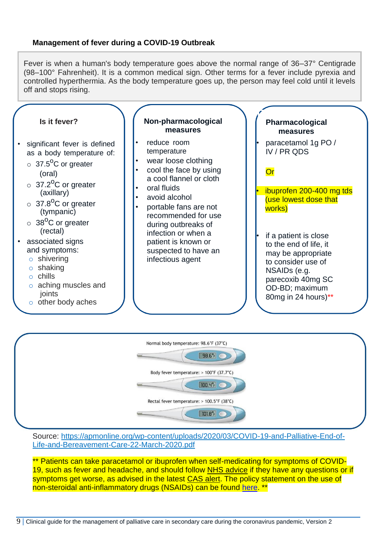### **Management of fever during a COVID-19 Outbreak**

Fever is when a human's body temperature goes above the normal range of 36–37° Centigrade (98–100° Fahrenheit). It is a common medical sign. Other terms for a fever include pyrexia and controlled hyperthermia. As the body temperature goes up, the person may feel cold until it levels off and stops rising.



| Normal body temperature: 98.6°F (37°C)<br>$98.6^{\circ}$ F |  |
|------------------------------------------------------------|--|
| Body fever temperature: > 100°F (37.7°C)<br>$[100.4°F]$    |  |
| Rectal fever temperature: > 100.5°F (38°C)                 |  |
| $[101.8^{\circ}$ F                                         |  |

Source: [https://apmonline.org/wp-content/uploads/2020/03/COVID-19-and-Palliative-End-of-](https://apmonline.org/wp-content/uploads/2020/03/COVID-19-and-Palliative-End-of-Life-and-Bereavement-Care-22-March-2020.pdf)[Life-and-Bereavement-Care-22-March-2020.pdf](https://apmonline.org/wp-content/uploads/2020/03/COVID-19-and-Palliative-End-of-Life-and-Bereavement-Care-22-March-2020.pdf)

\*\* Patients can take paracetamol or ibuprofen when self-medicating for symptoms of COVID-19, such as fever and headache, and should follow [NHS advice](https://www.nhs.uk/conditions/coronavirus-covid-19/) if they have any questions or if symptoms get worse, as advised in the latest [CAS alert.](https://www.cas.mhra.gov.uk/ViewandAcknowledgment/ViewAlert.aspx?AlertID=103025) The policy statement on the use of non-steroidal anti-inflammatory drugs (NSAIDs) can be found [here.](https://www.england.nhs.uk/coronavirus/publication/acute-use-of-non-steroidal-anti-inflammatory-drugs/) \*\*